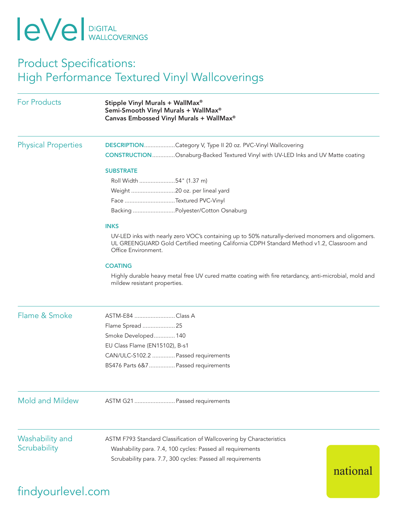## **IeVel** DIGITAL

### Product Specifications: High Performance Textured Vinyl Wallcoverings

| <b>For Products</b>             | Stipple Vinyl Murals + WallMax®<br>Semi-Smooth Vinyl Murals + WallMax®<br>Canvas Embossed Vinyl Murals + WallMax®                                                                                                    |
|---------------------------------|----------------------------------------------------------------------------------------------------------------------------------------------------------------------------------------------------------------------|
| <b>Physical Properties</b>      | DESCRIPTIONCategory V, Type II 20 oz. PVC-Vinyl Wallcovering<br><b>CONSTRUCTION</b> Osnaburg-Backed Textured Vinyl with UV-LED Inks and UV Matte coating                                                             |
|                                 | <b>SUBSTRATE</b>                                                                                                                                                                                                     |
|                                 | Roll Width 54" (1.37 m)                                                                                                                                                                                              |
|                                 |                                                                                                                                                                                                                      |
|                                 | Face Textured PVC-Vinyl                                                                                                                                                                                              |
|                                 | Backing Polyester/Cotton Osnaburg                                                                                                                                                                                    |
|                                 | <b>INKS</b>                                                                                                                                                                                                          |
|                                 | UV-LED inks with nearly zero VOC's containing up to 50% naturally-derived monomers and oligomers.<br>UL GREENGUARD Gold Certified meeting California CDPH Standard Method v1.2, Classroom and<br>Office Environment. |
|                                 | <b>COATING</b>                                                                                                                                                                                                       |
|                                 | Highly durable heavy metal free UV cured matte coating with fire retardancy, anti-microbial, mold and<br>mildew resistant properties.                                                                                |
| Flame & Smoke                   | ASTM-E84 Class A                                                                                                                                                                                                     |
|                                 | Flame Spread  25                                                                                                                                                                                                     |
|                                 | Smoke Developed 140                                                                                                                                                                                                  |
|                                 | EU Class Flame (EN15102), B-s1                                                                                                                                                                                       |
|                                 | CAN/ULC-S102.2  Passed requirements                                                                                                                                                                                  |
|                                 | BS476 Parts 6&7  Passed requirements                                                                                                                                                                                 |
| <b>Mold and Mildew</b>          | ASTM G21  Passed requirements                                                                                                                                                                                        |
|                                 |                                                                                                                                                                                                                      |
| Washability and<br>Scrubability | ASTM F793 Standard Classification of Wallcovering by Characteristics                                                                                                                                                 |
|                                 | Washability para. 7.4, 100 cycles: Passed all requirements                                                                                                                                                           |
|                                 | Scrubability para. 7.7, 300 cycles: Passed all requirements<br>national                                                                                                                                              |

## findyourlevel.com